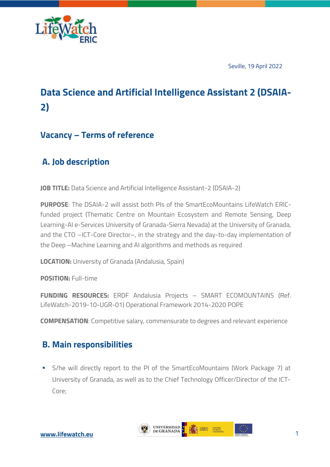

Seville, 19 April 2022

# **Data Science and Artificial Intelligence Assistant 2 (DSAIA-2)**

### **Vacancy – Terms of reference**

# **A. Job description**

**JOB TITLE:** Data Science and Artificial Intelligence Assistant-2 (DSAIA-2)

**PURPOSE**: The DSAIA-2 will assist both PIs of the SmartEcoMountains LifeWatch ERICfunded project (Thematic Centre on Mountain Ecosystem and Remote Sensing, Deep Learning-AI e-Services University of Granada-Sierra Nevada) at the University of Granada, and the CTO –ICT-Core Director–, in the strategy and the day-to-day implementation of the Deep –Machine Learning and AI algorithms and methods as required

**LOCATION:** University of Granada (Andalusia, Spain)

**POSITION:** Full-time

**FUNDING RESOURCES:** ERDF Andalusia Projects – SMART ECOMOUNTAINS (Ref. LifeWatch-2019-10-UGR-01) Operational Framework 2014-2020 POPE

**COMPENSATION**: Competitive salary, commensurate to degrees and relevant experience

#### **B. Main responsibilities**

§ S/he will directly report to the PI of the SmartEcoMountains (Work Package 7) at University of Granada, as well as to the Chief Technology Officer/Director of the ICT-Core;

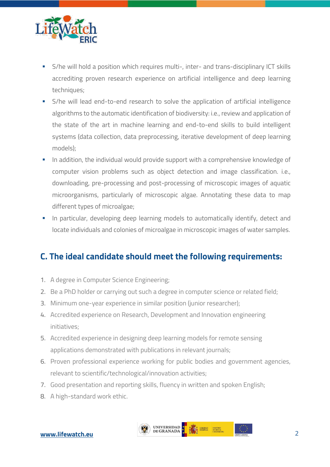

- § S/he will hold a position which requires multi-, inter- and trans-disciplinary ICT skills accrediting proven research experience on artificial intelligence and deep learning techniques;
- S/he will lead end-to-end research to solve the application of artificial intelligence algorithms to the automatic identification of biodiversity: i.e., review and application of the state of the art in machine learning and end-to-end skills to build intelligent systems (data collection, data preprocessing, iterative development of deep learning models);
- **•** In addition, the individual would provide support with a comprehensive knowledge of computer vision problems such as object detection and image classification. i.e., downloading, pre-processing and post-processing of microscopic images of aquatic microorganisms, particularly of microscopic algae. Annotating these data to map different types of microalgae;
- In particular, developing deep learning models to automatically identify, detect and locate individuals and colonies of microalgae in microscopic images of water samples.

# **C. The ideal candidate should meet the following requirements:**

- 1. A degree in Computer Science Engineering;
- 2. Be a PhD holder or carrying out such a degree in computer science or related field;
- 3. Minimum one-year experience in similar position (junior researcher);
- 4. Accredited experience on Research, Development and Innovation engineering initiatives;
- 5. Accredited experience in designing deep learning models for remote sensing applications demonstrated with publications in relevant journals;
- 6. Proven professional experience working for public bodies and government agencies, relevant to scientific/technological/innovation activities;
- 7. Good presentation and reporting skills, fluency in written and spoken English;
- 8. A high-standard work ethic.